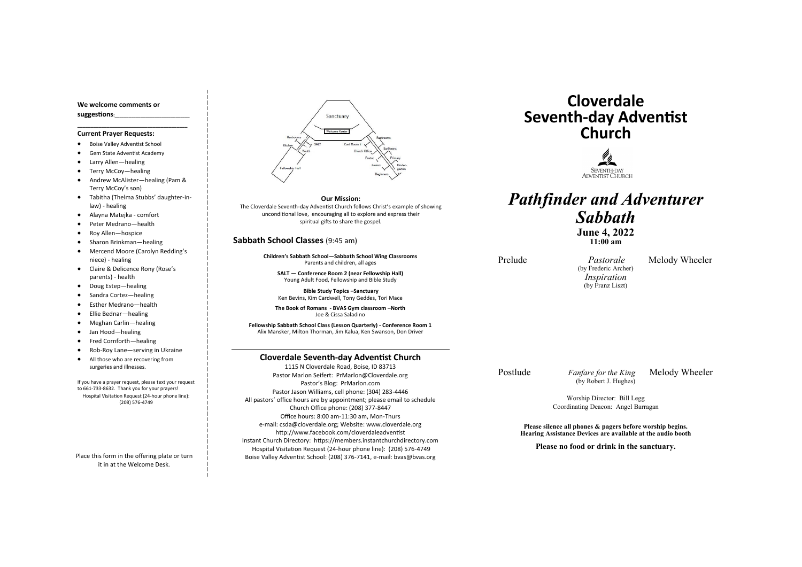### **Cloverdale Seventh-day Adventist Church**

1115 N Cloverdale Road, Boise, ID 83713 Pastor Marlon Seifert: PrMarlon@Cloverdale.org Pastor's Blog: PrMarlon.com Pastor Jason Williams, cell phone: (304) 283-4446 All pastors' office hours are by appointment; please email to schedule Church Office phone: (208) 377-8447 Office hours: 8:00 am-11:30 am, Mon-Thurs e-mail: csda@cloverdale.org; Website: www.cloverdale.org http://www.facebook.com/cloverdaleadventist Instant Church Directory: https://members.instantchurchdirectory.com Hospital Visitation Request (24-hour phone line): (208) 576-4749 Boise Valley Adventist School: (208) 376-7141, e-mail: bvas@bvas.org

### **We welcome comments or suggestions:**\_\_\_\_\_\_\_\_\_\_\_\_\_\_\_\_\_\_\_\_\_\_\_\_\_\_\_\_\_\_\_\_

**\_\_\_\_\_\_\_\_\_\_\_\_\_\_\_\_\_\_\_\_\_\_\_\_\_\_\_\_\_\_\_\_\_\_\_\_\_\_\_\_\_**

#### **Current Prayer Requests:**

- Boise Valley Adventist School
- Gem State Adventist Academy
- Larry Allen—healing
- Terry McCoy—healing
- Andrew McAlister—healing (Pam & Terry McCoy's son)

- Tabitha (Thelma Stubbs' daughter-inlaw) - healing
- Alayna Matejka comfort
- Peter Medrano—health
- Roy Allen—hospice
- Sharon Brinkman—healing
- Mercend Moore (Carolyn Redding's niece) - healing
- Claire & Delicence Rony (Rose's parents) - health
- Doug Estep—healing
- Sandra Cortez—healing
- Esther Medrano—health
- Ellie Bednar—healing
- Meghan Carlin—healing
- Jan Hood—healing
- Fred Cornforth—healing
- Rob-Roy Lane—serving in Ukraine
- All those who are recovering from surgeries and illnesses.

Postlude *Fanfare for the King* Melody Wheeler (by Robert J. Hughes)

If you have a prayer request, please text your request to 661-733-8632. Thank you for your prayers! Hospital Visitation Request (24-hour phone line): (208) 576-4749

Place this form in the offering plate or turn it in at the Welcome Desk.



### **Sabbath School Classes** (9:45 am)

**Children's Sabbath School—Sabbath School Wing Classrooms** Parents and children, all ages

**SALT — Conference Room 2 (near Fellowship Hall)** Young Adult Food, Fellowship and Bible Study

**Bible Study Topics –Sanctuary** Ken Bevins, Kim Cardwell, Tony Geddes, Tori Mace

**The Book of Romans - BVAS Gym classroom –North** Joe & Cissa Saladino

**Fellowship Sabbath School Class (Lesson Quarterly) - Conference Room 1** Alix Mansker, Milton Thorman, Jim Kalua, Ken Swanson, Don Driver

# **Cloverdale Seventh-day Adventist Church**



## *Pathfinder and Adventurer Sabbath* **June 4, 2022 11:00 am**

Prelude *Pastorale* Melody Wheeler

(by Frederic Archer) *Inspiration* (by Franz Liszt)

Worship Director: Bill Legg Coordinating Deacon: Angel Barragan

**Please silence all phones & pagers before worship begins. Hearing Assistance Devices are available at the audio booth**

**Please no food or drink in the sanctuary.**

**Our Mission:**

The Cloverdale Seventh-day Adventist Church follows Christ's example of showing unconditional love, encouraging all to explore and express their spiritual gifts to share the gospel.